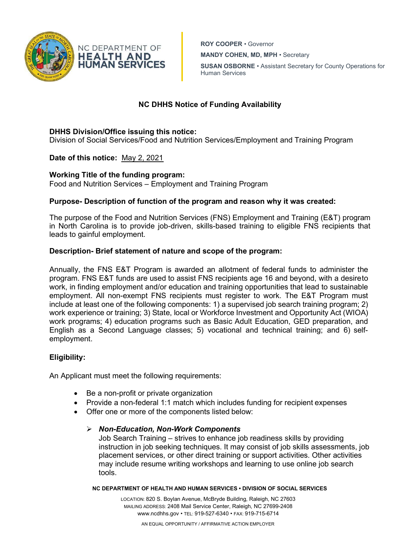

ROY COOPER • Governor

MANDY COHEN, MD, MPH • Secretary

SUSAN OSBORNE • Assistant Secretary for County Operations for Human Services

# NC DHHS Notice of Funding Availability

## DHHS Division/Office issuing this notice:

Division of Social Services/Food and Nutrition Services/Employment and Training Program

Date of this notice: May 2, 2021

# Working Title of the funding program:

Food and Nutrition Services – Employment and Training Program

### Purpose- Description of function of the program and reason why it was created:

The purpose of the Food and Nutrition Services (FNS) Employment and Training (E&T) program in North Carolina is to provide job-driven, skills-based training to eligible FNS recipients that leads to gainful employment.

### Description- Brief statement of nature and scope of the program:

Annually, the FNS E&T Program is awarded an allotment of federal funds to administer the program. FNS E&T funds are used to assist FNS recipients age 16 and beyond, with a desireto work, in finding employment and/or education and training opportunities that lead to sustainable employment. All non-exempt FNS recipients must register to work. The E&T Program must include at least one of the following components: 1) a supervised job search training program; 2) work experience or training; 3) State, local or Workforce Investment and Opportunity Act (WIOA) work programs; 4) education programs such as Basic Adult Education, GED preparation, and English as a Second Language classes; 5) vocational and technical training; and 6) selfemployment.

### Eligibility:

An Applicant must meet the following requirements:

- Be a non-profit or private organization
- Provide a non-federal 1:1 match which includes funding for recipient expenses
- Offer one or more of the components listed below:

### $\triangleright$  Non-Education, Non-Work Components

Job Search Training – strives to enhance job readiness skills by providing instruction in job seeking techniques. It may consist of job skills assessments, job placement services, or other direct training or support activities. Other activities may include resume writing workshops and learning to use online job search tools.

NC DEPARTMENT OF HEALTH AND HUMAN SERVICES • DIVISION OF SOCIAL SERVICES

LOCATION: 820 S. Boylan Avenue, McBryde Building, Raleigh, NC 27603 MAILING ADDRESS: 2408 Mail Service Center, Raleigh, NC 27699-2408 www.ncdhhs.gov • TEL: 919-527-6340 • FAX: 919-715-6714